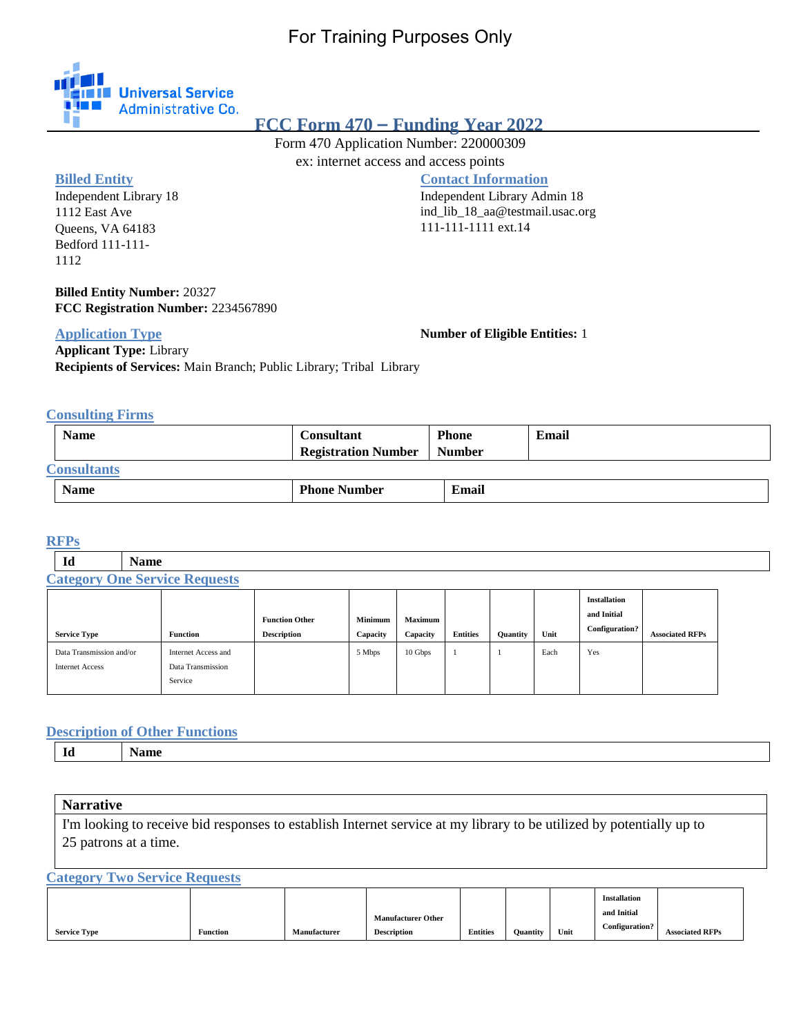

# **FCC Form 470 – Funding Year 2022**

Form 470 Application Number: 220000309 ex: internet access and access points

# **Contact Information**

Independent Library Admin 18 ind\_lib\_18\_aa@testmail.usac.org 111-111-1111 ext.14

**Billed Entity** Independent Library 18 1112 East Ave Queens, VA 64183 Bedford 111-111- 1112

#### **Billed Entity Number:** 20327 **FCC Registration Number:** 2234567890

#### **Application Type**

**Number of Eligible Entities:** 1

**Applicant Type:** Library **Recipients of Services:** Main Branch; Public Library; Tribal Library

**Consulting Firms**

|                    | <b>Name</b> | <b>Consultant</b><br><b>Registration Number</b> | <b>Phone</b><br><b>Number</b> | Email |  |
|--------------------|-------------|-------------------------------------------------|-------------------------------|-------|--|
| <b>Consultants</b> |             |                                                 |                               |       |  |
|                    | <b>Name</b> | <b>Phone Number</b>                             | Email                         |       |  |

### **RFPs**

| Id                                                 | <b>Name</b> |                                                     |                                             |                            |                            |                 |                 |      |                                                             |                        |
|----------------------------------------------------|-------------|-----------------------------------------------------|---------------------------------------------|----------------------------|----------------------------|-----------------|-----------------|------|-------------------------------------------------------------|------------------------|
| <b>Category One Service Requests</b>               |             |                                                     |                                             |                            |                            |                 |                 |      |                                                             |                        |
| <b>Service Type</b>                                |             | <b>Function</b>                                     | <b>Function Other</b><br><b>Description</b> | <b>Minimum</b><br>Capacity | <b>Maximum</b><br>Capacity | <b>Entities</b> | <b>Quantity</b> | Unit | <b>Installation</b><br>and Initial<br><b>Configuration?</b> | <b>Associated RFPs</b> |
| Data Transmission and/or<br><b>Internet Access</b> |             | Internet Access and<br>Data Transmission<br>Service |                                             | 5 Mbps                     | 10 Gbps                    |                 |                 | Each | Yes                                                         |                        |

### **Description of Other Functions**

**Id Name**

# **Narrative**

I'm looking to receive bid responses to establish Internet service at my library to be utilized by potentially up to 25 patrons at a time.

## **Category Two Service Requests**

|                     |                 |              |                           |                 |                 |      | <b>Installation</b>   |                        |
|---------------------|-----------------|--------------|---------------------------|-----------------|-----------------|------|-----------------------|------------------------|
|                     |                 |              | <b>Manufacturer Other</b> |                 |                 |      | and Initial           |                        |
| <b>Service Type</b> | <b>Function</b> | Manufacturer | <b>Description</b>        | <b>Entities</b> | <b>Quantity</b> | Unit | <b>Configuration?</b> | <b>Associated RFPs</b> |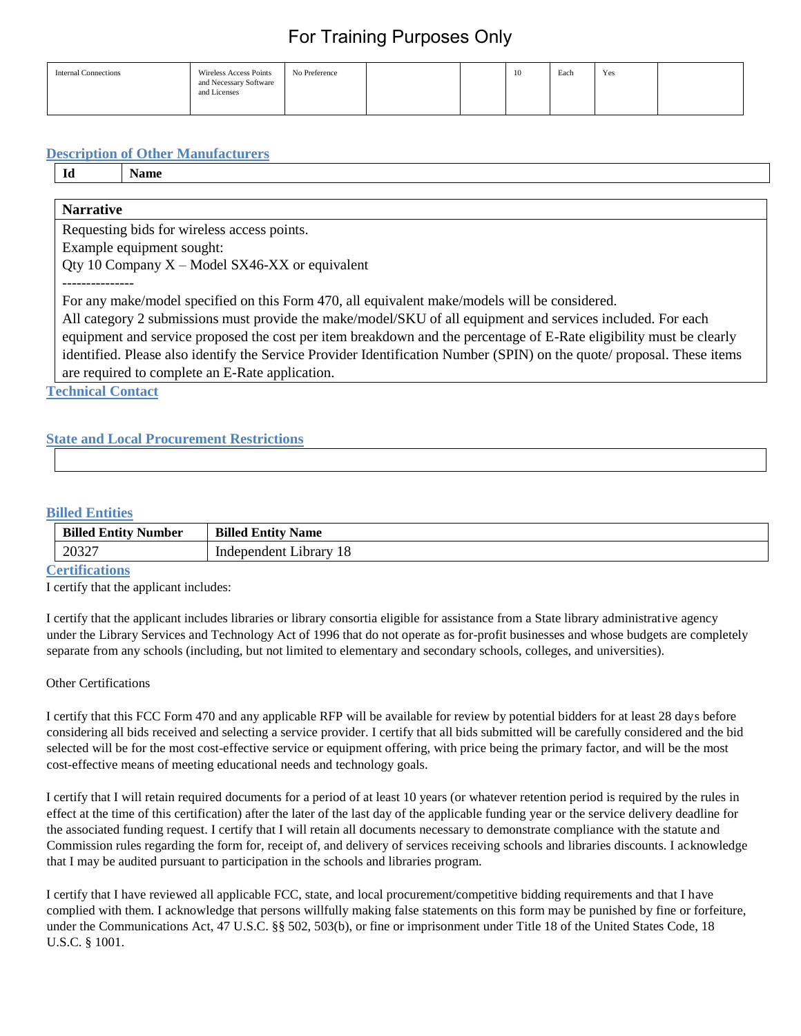# For Training Purposes Only

| <b>Internal Connections</b> | <b>Wireless Access Points</b><br>and Necessary Software<br>and Licenses | No Preference |  | 10 | Each | Yes |  |
|-----------------------------|-------------------------------------------------------------------------|---------------|--|----|------|-----|--|
|                             |                                                                         |               |  |    |      |     |  |

### **Description of Other Manufacturers**

| Id | <b>Name</b> |
|----|-------------|
|----|-------------|

**Narrative**

Requesting bids for wireless access points.

Example equipment sought:

Qty 10 Company X – Model SX46-XX or equivalent

---------------

For any make/model specified on this Form 470, all equivalent make/models will be considered.

All category 2 submissions must provide the make/model/SKU of all equipment and services included. For each equipment and service proposed the cost per item breakdown and the percentage of E-Rate eligibility must be clearly identified. Please also identify the Service Provider Identification Number (SPIN) on the quote/ proposal. These items are required to complete an E-Rate application.

**Technical Contact**

# **State and Local Procurement Restrictions**

### **Billed Entities**

| <b>Bi</b><br>Number<br>. Entity<br>'led . | <b>Billed</b><br>. Entity Name |
|-------------------------------------------|--------------------------------|
| 20327                                     | ⊥brarv∟<br>Independent<br>1 O  |

### **Certifications**

I certify that the applicant includes:

I certify that the applicant includes libraries or library consortia eligible for assistance from a State library administrative agency under the Library Services and Technology Act of 1996 that do not operate as for-profit businesses and whose budgets are completely separate from any schools (including, but not limited to elementary and secondary schools, colleges, and universities).

### Other Certifications

I certify that this FCC Form 470 and any applicable RFP will be available for review by potential bidders for at least 28 days before considering all bids received and selecting a service provider. I certify that all bids submitted will be carefully considered and the bid selected will be for the most cost-effective service or equipment offering, with price being the primary factor, and will be the most cost-effective means of meeting educational needs and technology goals.

I certify that I will retain required documents for a period of at least 10 years (or whatever retention period is required by the rules in effect at the time of this certification) after the later of the last day of the applicable funding year or the service delivery deadline for the associated funding request. I certify that I will retain all documents necessary to demonstrate compliance with the statute and Commission rules regarding the form for, receipt of, and delivery of services receiving schools and libraries discounts. I acknowledge that I may be audited pursuant to participation in the schools and libraries program.

I certify that I have reviewed all applicable FCC, state, and local procurement/competitive bidding requirements and that I have complied with them. I acknowledge that persons willfully making false statements on this form may be punished by fine or forfeiture, under the Communications Act, 47 U.S.C. §§ 502, 503(b), or fine or imprisonment under Title 18 of the United States Code, 18 U.S.C. § 1001.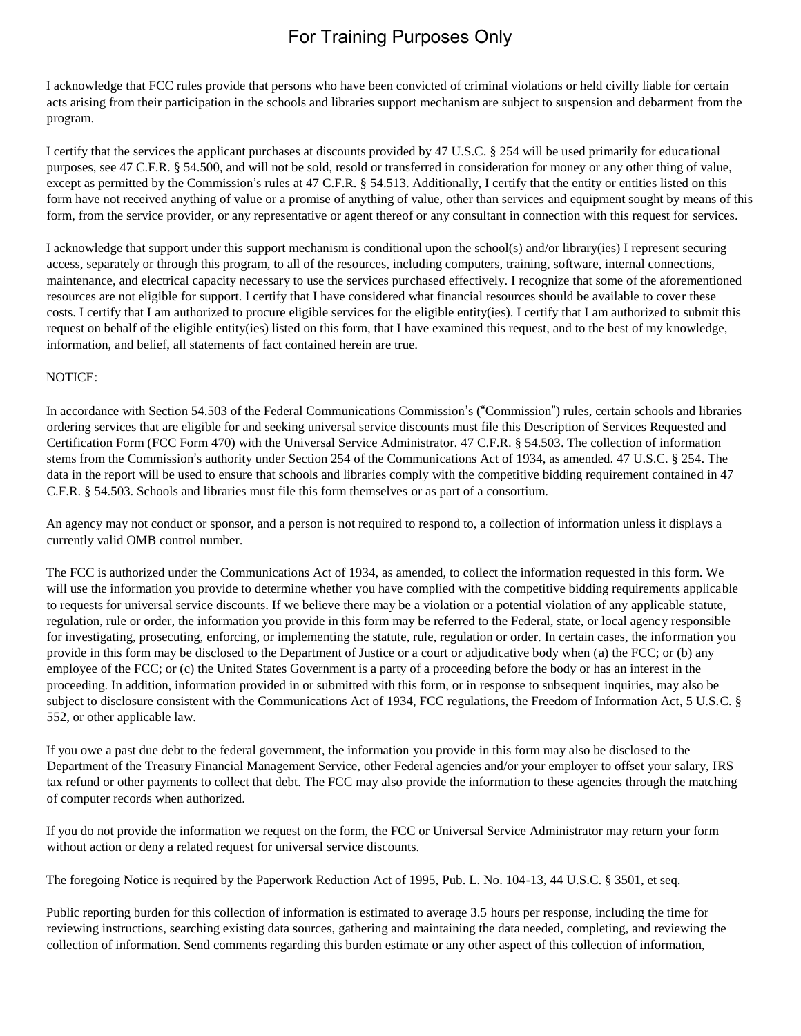# For Training Purposes Only

I acknowledge that FCC rules provide that persons who have been convicted of criminal violations or held civilly liable for certain acts arising from their participation in the schools and libraries support mechanism are subject to suspension and debarment from the program.

I certify that the services the applicant purchases at discounts provided by 47 U.S.C. § 254 will be used primarily for educational purposes, see 47 C.F.R. § 54.500, and will not be sold, resold or transferred in consideration for money or any other thing of value, except as permitted by the Commission's rules at 47 C.F.R. § 54.513. Additionally, I certify that the entity or entities listed on this form have not received anything of value or a promise of anything of value, other than services and equipment sought by means of this form, from the service provider, or any representative or agent thereof or any consultant in connection with this request for services.

I acknowledge that support under this support mechanism is conditional upon the school(s) and/or library(ies) I represent securing access, separately or through this program, to all of the resources, including computers, training, software, internal connections, maintenance, and electrical capacity necessary to use the services purchased effectively. I recognize that some of the aforementioned resources are not eligible for support. I certify that I have considered what financial resources should be available to cover these costs. I certify that I am authorized to procure eligible services for the eligible entity(ies). I certify that I am authorized to submit this request on behalf of the eligible entity(ies) listed on this form, that I have examined this request, and to the best of my knowledge, information, and belief, all statements of fact contained herein are true.

#### NOTICE:

In accordance with Section 54.503 of the Federal Communications Commission's ("Commission") rules, certain schools and libraries ordering services that are eligible for and seeking universal service discounts must file this Description of Services Requested and Certification Form (FCC Form 470) with the Universal Service Administrator. 47 C.F.R. § 54.503. The collection of information stems from the Commission's authority under Section 254 of the Communications Act of 1934, as amended. 47 U.S.C. § 254. The data in the report will be used to ensure that schools and libraries comply with the competitive bidding requirement contained in 47 C.F.R. § 54.503. Schools and libraries must file this form themselves or as part of a consortium.

An agency may not conduct or sponsor, and a person is not required to respond to, a collection of information unless it displays a currently valid OMB control number.

The FCC is authorized under the Communications Act of 1934, as amended, to collect the information requested in this form. We will use the information you provide to determine whether you have complied with the competitive bidding requirements applicable to requests for universal service discounts. If we believe there may be a violation or a potential violation of any applicable statute, regulation, rule or order, the information you provide in this form may be referred to the Federal, state, or local agency responsible for investigating, prosecuting, enforcing, or implementing the statute, rule, regulation or order. In certain cases, the information you provide in this form may be disclosed to the Department of Justice or a court or adjudicative body when (a) the FCC; or (b) any employee of the FCC; or (c) the United States Government is a party of a proceeding before the body or has an interest in the proceeding. In addition, information provided in or submitted with this form, or in response to subsequent inquiries, may also be subject to disclosure consistent with the Communications Act of 1934, FCC regulations, the Freedom of Information Act, 5 U.S.C. § 552, or other applicable law.

If you owe a past due debt to the federal government, the information you provide in this form may also be disclosed to the Department of the Treasury Financial Management Service, other Federal agencies and/or your employer to offset your salary, IRS tax refund or other payments to collect that debt. The FCC may also provide the information to these agencies through the matching of computer records when authorized.

If you do not provide the information we request on the form, the FCC or Universal Service Administrator may return your form without action or deny a related request for universal service discounts.

The foregoing Notice is required by the Paperwork Reduction Act of 1995, Pub. L. No. 104-13, 44 U.S.C. § 3501, et seq.

Public reporting burden for this collection of information is estimated to average 3.5 hours per response, including the time for reviewing instructions, searching existing data sources, gathering and maintaining the data needed, completing, and reviewing the collection of information. Send comments regarding this burden estimate or any other aspect of this collection of information,